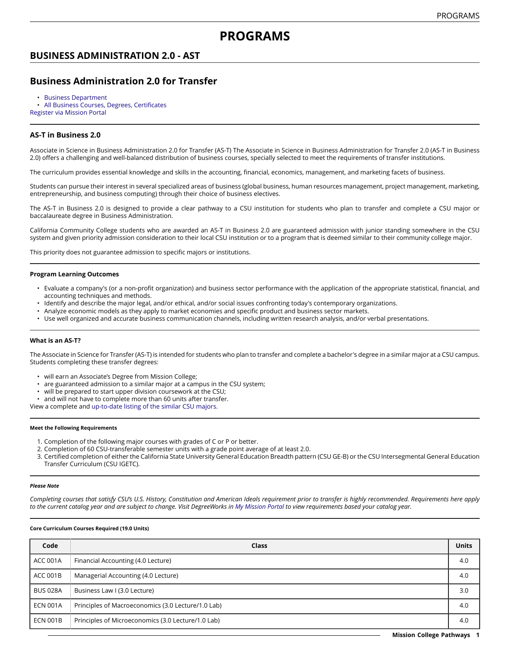# **PROGRAMS**

## **BUSINESS ADMINISTRATION 2.0 - AST**

## **Business Administration 2.0 for Transfer**

- [Business Department](https://missioncollege.edu/depts/business/index.html)
- All Business Courses, Degrees, [Certificates](http://majors.missioncollege.edu/current/courses/bus.html)
- [Register via Mission Portal](https://web.wvm.edu/)

### **AS-T in Business 2.0**

Associate in Science in Business Administration 2.0 for Transfer (AS-T) The Associate in Science in Business Administration for Transfer 2.0 (AS-T in Business 2.0) offers a challenging and well-balanced distribution of business courses, specially selected to meet the requirements of transfer institutions.

The curriculum provides essential knowledge and skills in the accounting, financial, economics, management, and marketing facets of business.

Students can pursue their interest in several specialized areas of business (global business, human resources management, project management, marketing, entrepreneurship, and business computing) through their choice of business electives.

The AS-T in Business 2.0 is designed to provide a clear pathway to a CSU institution for students who plan to transfer and complete a CSU major or baccalaureate degree in Business Administration.

California Community College students who are awarded an AS-T in Business 2.0 are guaranteed admission with junior standing somewhere in the CSU system and given priority admission consideration to their local CSU institution or to a program that is deemed similar to their community college major.

This priority does not guarantee admission to specific majors or institutions.

#### **Program Learning Outcomes**

- Evaluate a company's (or a non-profit organization) and business sector performance with the application of the appropriate statistical, financial, and accounting techniques and methods.
- Identify and describe the major legal, and/or ethical, and/or social issues confronting today's contemporary organizations.
- Analyze economic models as they apply to market economies and specific product and business sector markets.
- Use well organized and accurate business communication channels, including written research analysis, and/or verbal presentations.

#### **What is an AS-T?**

The Associate in Science for Transfer (AS-T) is intended for students who plan to transfer and complete a bachelor's degree in a similar major at a CSU campus. Students completing these transfer degrees:

- will earn an Associate's Degree from Mission College;
- are guaranteed admission to a similar major at a campus in the CSU system;
- will be prepared to start upper division coursework at the CSU;
- and will not have to complete more than 60 units after transfer.
- View a complete and [up-to-date listing of the similar CSU majors.](http://www.adegreewithaguarantee.com/)

#### **Meet the Following Requirements**

- 1. Completion of the following major courses with grades of C or P or better.
- 2. Completion of 60 CSU-transferable semester units with a grade point average of at least 2.0.
- 3. Certified completion of either the California State University General Education Breadth pattern (CSU GE-B) or the CSU Intersegmental General Education Transfer Curriculum (CSU IGETC).

#### *Please Note*

Completing courses that satisfy CSU's U.S. History, Constitution and American Ideals requirement prior to transfer is highly recommended. Requirements here apply to the current catalog year and are subject to change. Visit DegreeWorks in [My Mission Portal](https://web.wvm.edu/#/) to view requirements based your catalog year.

#### **Core Curriculum Courses Required (19.0 Units)**

| Code            | Class                                              | <b>Units</b> |
|-----------------|----------------------------------------------------|--------------|
| <b>ACC 001A</b> | Financial Accounting (4.0 Lecture)                 | 4.0          |
| <b>ACC 001B</b> | Managerial Accounting (4.0 Lecture)                | 4.0          |
| <b>BUS 028A</b> | Business Law I (3.0 Lecture)                       | 3.0          |
| <b>ECN 001A</b> | Principles of Macroeconomics (3.0 Lecture/1.0 Lab) | 4.0          |
| <b>ECN 001B</b> | Principles of Microeconomics (3.0 Lecture/1.0 Lab) | 4.0          |